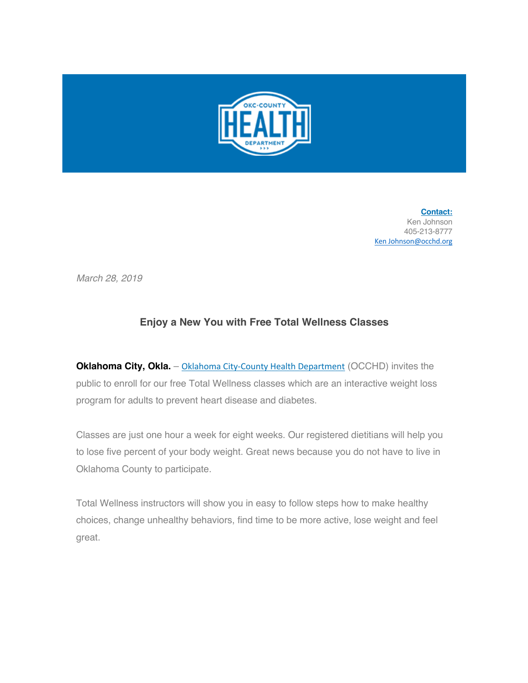

**Contact:** Ken Johnson 405-213-8777 Ken Johnson@occhd.org

*March 28, 2019*

## **Enjoy a New You with Free Total Wellness Classes**

**Oklahoma City, Okla.** – Oklahoma City-County Health Department (OCCHD) invites the public to enroll for our free Total Wellness classes which are an interactive weight loss program for adults to prevent heart disease and diabetes.

Classes are just one hour a week for eight weeks. Our registered dietitians will help you to lose five percent of your body weight. Great news because you do not have to live in Oklahoma County to participate.

Total Wellness instructors will show you in easy to follow steps how to make healthy choices, change unhealthy behaviors, find time to be more active, lose weight and feel great.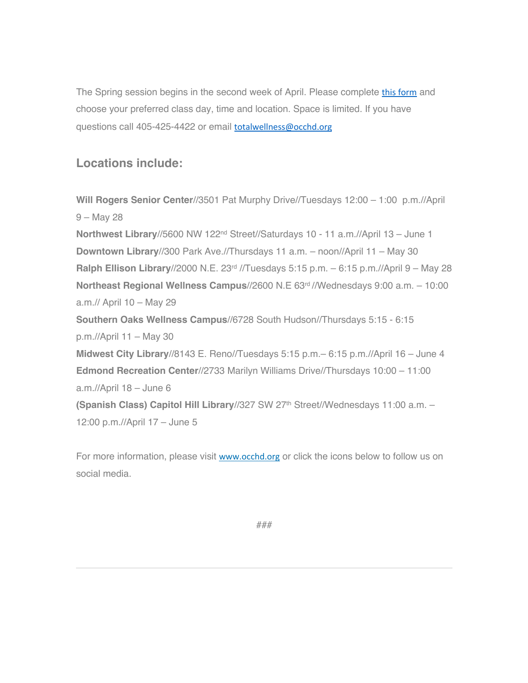The Spring session begins in the second week of April. Please complete this form and choose your preferred class day, time and location. Space is limited. If you have questions call 405-425-4422 or email totalwellness@occhd.org

## **Locations include:**

**Will Rogers Senior Center**//3501 Pat Murphy Drive//Tuesdays 12:00 – 1:00 p.m.//April 9 – May 28 **Northwest Library**//5600 NW 122nd Street//Saturdays 10 - 11 a.m.//April 13 – June 1 **Downtown Library**//300 Park Ave.//Thursdays 11 a.m. – noon//April 11 – May 30 **Ralph Ellison Library**//2000 N.E. 23rd //Tuesdays 5:15 p.m. – 6:15 p.m.//April 9 – May 28 **Northeast Regional Wellness Campus//2600 N.E 63<sup>rd</sup>//Wednesdays 9:00 a.m. - 10:00** a.m.// April 10 – May 29 **Southern Oaks Wellness Campus**//6728 South Hudson//Thursdays 5:15 - 6:15 p.m.//April 11 – May 30 **Midwest City Library**//8143 E. Reno//Tuesdays 5:15 p.m.– 6:15 p.m.//April 16 – June 4 **Edmond Recreation Center**//2733 Marilyn Williams Drive//Thursdays 10:00 – 11:00 a.m.//April 18 – June 6 **(Spanish Class) Capitol Hill Library//327 SW 27th Street//Wednesdays 11:00 a.m. -**12:00 p.m.//April 17 – June 5

For more information, please visit www.occhd.org or click the icons below to follow us on social media.

###